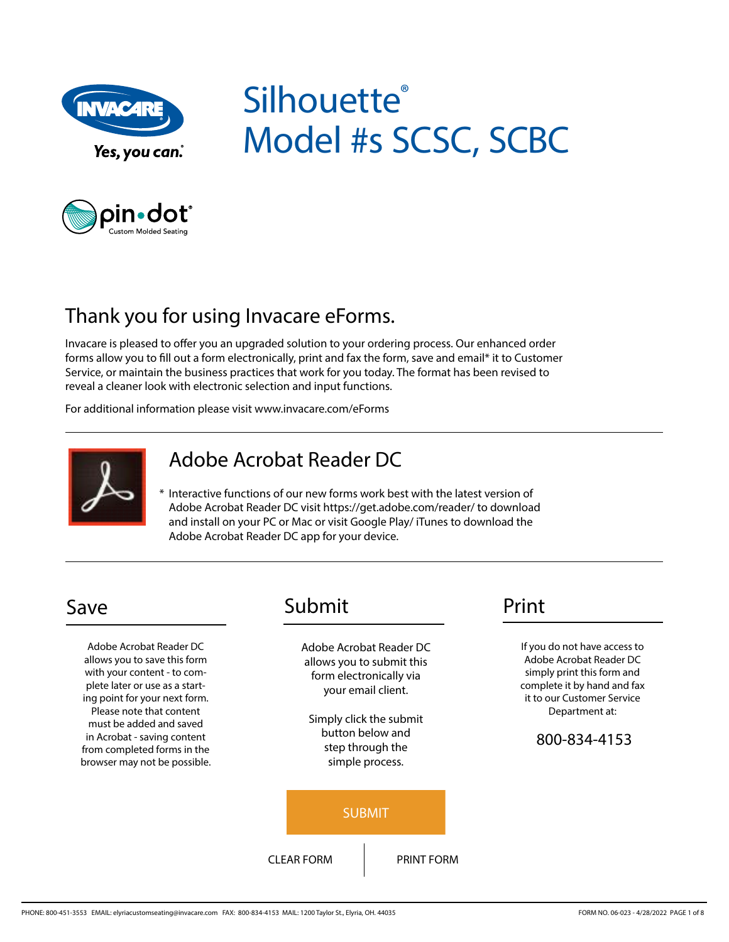

# **Silhouette®** Model #s SCSC, SCBC



# Thank you for using Invacare eForms.

Invacare is pleased to offer you an upgraded solution to your ordering process. Our enhanced order forms allow you to fill out a form electronically, print and fax the form, save and email\* it to Customer Service, or maintain the business practices that work for you today. The format has been revised to reveal a cleaner look with electronic selection and input functions.

For additional information please visit www.invacare.com/eForms



### Adobe Acrobat Reader DC

\* Interactive functions of our new forms work best with the latest version of Adobe Acrobat Reader DC visit https://get.adobe.com/reader/ to download and install on your PC or Mac or visit Google Play/ iTunes to download the Adobe Acrobat Reader DC app for your device.

Adobe Acrobat Reader DC allows you to save this form with your content - to complete later or use as a starting point for your next form. Please note that content must be added and saved in Acrobat - saving content from completed forms in the browser may not be possible.

## Save Submit Print

Adobe Acrobat Reader DC allows you to submit this form electronically via your email client.

Simply click the submit button below and step through the simple process.



If you do not have access to Adobe Acrobat Reader DC simply print this form and complete it by hand and fax it to our Customer Service Department at:

#### 800-834-4153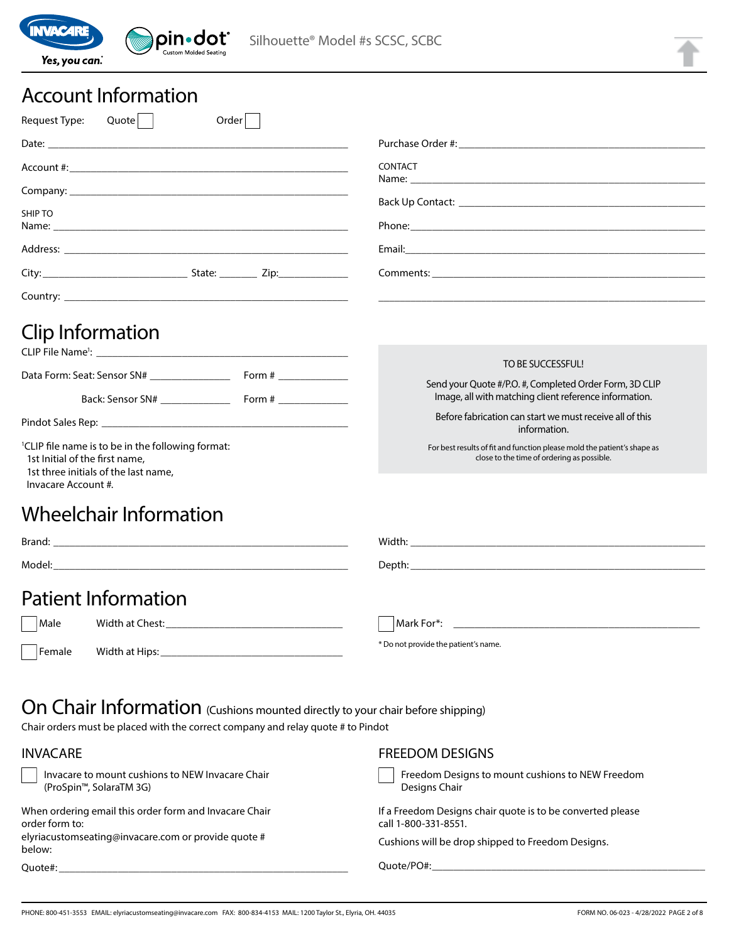

# Account Information

| Request Type:<br>Quote<br>Order                                                                                                                                |                                                                                                                       |
|----------------------------------------------------------------------------------------------------------------------------------------------------------------|-----------------------------------------------------------------------------------------------------------------------|
|                                                                                                                                                                |                                                                                                                       |
|                                                                                                                                                                | <b>CONTACT</b>                                                                                                        |
|                                                                                                                                                                |                                                                                                                       |
| <b>SHIP TO</b>                                                                                                                                                 | Back Up Contact: New York State State State State State State State State State State State State St                  |
|                                                                                                                                                                |                                                                                                                       |
|                                                                                                                                                                |                                                                                                                       |
|                                                                                                                                                                |                                                                                                                       |
| Clip Information                                                                                                                                               |                                                                                                                       |
|                                                                                                                                                                | TO BE SUCCESSFUL!                                                                                                     |
|                                                                                                                                                                | Send your Quote #/P.O. #, Completed Order Form, 3D CLIP<br>Image, all with matching client reference information.     |
|                                                                                                                                                                | Before fabrication can start we must receive all of this<br>information.                                              |
| <sup>1</sup> CLIP file name is to be in the following format:<br>1st Initial of the first name,<br>1st three initials of the last name,<br>Invacare Account #. | For best results of fit and function please mold the patient's shape as<br>close to the time of ordering as possible. |
| Wheelchair Information                                                                                                                                         |                                                                                                                       |
|                                                                                                                                                                |                                                                                                                       |
|                                                                                                                                                                |                                                                                                                       |
| <b>Patient Information</b>                                                                                                                                     |                                                                                                                       |
| Male                                                                                                                                                           |                                                                                                                       |
| Female                                                                                                                                                         | * Do not provide the patient's name.                                                                                  |

# On Chair Information (Cushions mounted directly to your chair before shipping)

Chair orders must be placed with the correct company and relay quote # to Pindot

| <b>INVACARE</b>                                                                          | <b>FREEDOM DESIGNS</b>                                                             |
|------------------------------------------------------------------------------------------|------------------------------------------------------------------------------------|
| Invacare to mount cushions to NEW Invacare Chair<br>(ProSpin <sup>™</sup> , SolaraTM 3G) | Freedom Designs to mount cushions to NEW Freedom<br>Designs Chair                  |
| When ordering email this order form and Invacare Chair<br>order form to:                 | If a Freedom Designs chair quote is to be converted please<br>call 1-800-331-8551. |
| elyriacustomseating@invacare.com or provide quote #<br>below:                            | Cushions will be drop shipped to Freedom Designs.                                  |
| Ouote#:                                                                                  | Ouote/PO#:                                                                         |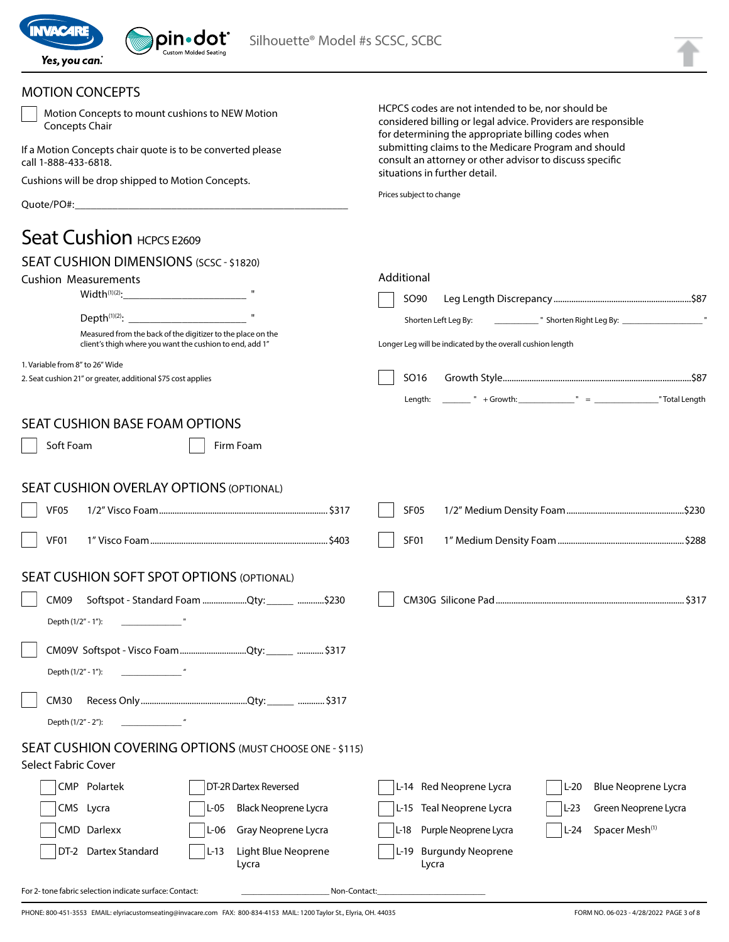

| <b>MOTION CONCEPTS</b>                                                                                                  |                                                                                                                                                                          |
|-------------------------------------------------------------------------------------------------------------------------|--------------------------------------------------------------------------------------------------------------------------------------------------------------------------|
| Motion Concepts to mount cushions to NEW Motion<br>Concepts Chair                                                       | HCPCS codes are not intended to be, nor should be<br>considered billing or legal advice. Providers are responsible<br>for determining the appropriate billing codes when |
| If a Motion Concepts chair quote is to be converted please<br>call 1-888-433-6818.                                      | submitting claims to the Medicare Program and should<br>consult an attorney or other advisor to discuss specific<br>situations in further detail.                        |
| Cushions will be drop shipped to Motion Concepts.                                                                       |                                                                                                                                                                          |
|                                                                                                                         | Prices subject to change                                                                                                                                                 |
| Seat Cushion HCPCS E2609                                                                                                |                                                                                                                                                                          |
| SEAT CUSHION DIMENSIONS (SCSC - \$1820)                                                                                 |                                                                                                                                                                          |
| <b>Cushion Measurements</b>                                                                                             | Additional                                                                                                                                                               |
| Width <sup>(1)(2)</sup> :<br><u> 1980 - Johann Barbara, martxa a</u>                                                    | SO90                                                                                                                                                                     |
|                                                                                                                         | Shorten Left Leg By:                                                                                                                                                     |
| Measured from the back of the digitizer to the place on the<br>client's thigh where you want the cushion to end, add 1" | Longer Leg will be indicated by the overall cushion length                                                                                                               |
| 1. Variable from 8" to 26" Wide<br>2. Seat cushion 21" or greater, additional \$75 cost applies                         | SO16                                                                                                                                                                     |
|                                                                                                                         | Length:                                                                                                                                                                  |
|                                                                                                                         |                                                                                                                                                                          |
| <b>SEAT CUSHION BASE FOAM OPTIONS</b>                                                                                   |                                                                                                                                                                          |
| Soft Foam<br>Firm Foam                                                                                                  |                                                                                                                                                                          |
|                                                                                                                         |                                                                                                                                                                          |
| <b>SEAT CUSHION OVERLAY OPTIONS (OPTIONAL)</b>                                                                          |                                                                                                                                                                          |
| <b>VF05</b>                                                                                                             | SF <sub>05</sub>                                                                                                                                                         |
| VF01                                                                                                                    | SF01                                                                                                                                                                     |
| <b>SEAT CUSHION SOFT SPOT OPTIONS (OPTIONAL)</b>                                                                        |                                                                                                                                                                          |
| Softspot - Standard Foam Qty: _____ \$230<br>CM09                                                                       |                                                                                                                                                                          |
| Depth (1/2" - 1"):                                                                                                      |                                                                                                                                                                          |
|                                                                                                                         |                                                                                                                                                                          |
| CM09V Softspot - Visco FoamQty:______ \$317                                                                             |                                                                                                                                                                          |
| Depth (1/2" - 1"):                                                                                                      |                                                                                                                                                                          |
| CM30                                                                                                                    |                                                                                                                                                                          |
| $\mathbf{u}$<br>Depth (1/2" - 2"):                                                                                      |                                                                                                                                                                          |
| SEAT CUSHION COVERING OPTIONS (MUST CHOOSE ONE - \$115)                                                                 |                                                                                                                                                                          |
| <b>Select Fabric Cover</b>                                                                                              |                                                                                                                                                                          |
| CMP Polartek<br>DT-2R Dartex Reversed                                                                                   | L-14 Red Neoprene Lycra<br><b>Blue Neoprene Lycra</b><br>$L-20$                                                                                                          |
| CMS Lycra<br>Black Neoprene Lycra<br>L-05                                                                               | L-15 Teal Neoprene Lycra<br>Green Neoprene Lycra<br>L-23                                                                                                                 |
| CMD Darlexx<br>Gray Neoprene Lycra<br>L-06                                                                              | Purple Neoprene Lycra<br>Spacer Mesh <sup>(1)</sup><br>$L-24$<br>L-18                                                                                                    |
| DT-2 Dartex Standard<br>Light Blue Neoprene<br>$L-13$                                                                   | <b>Burgundy Neoprene</b><br>$L-19$                                                                                                                                       |
| Lycra                                                                                                                   | Lycra                                                                                                                                                                    |

For 2- tone fabric selection indicate surface: Contact: \_\_\_\_\_\_\_\_\_\_\_\_\_\_\_\_\_\_\_\_\_\_Non-Contact:\_\_\_\_\_\_\_\_\_\_\_\_\_\_\_\_\_\_\_\_\_\_\_\_\_\_\_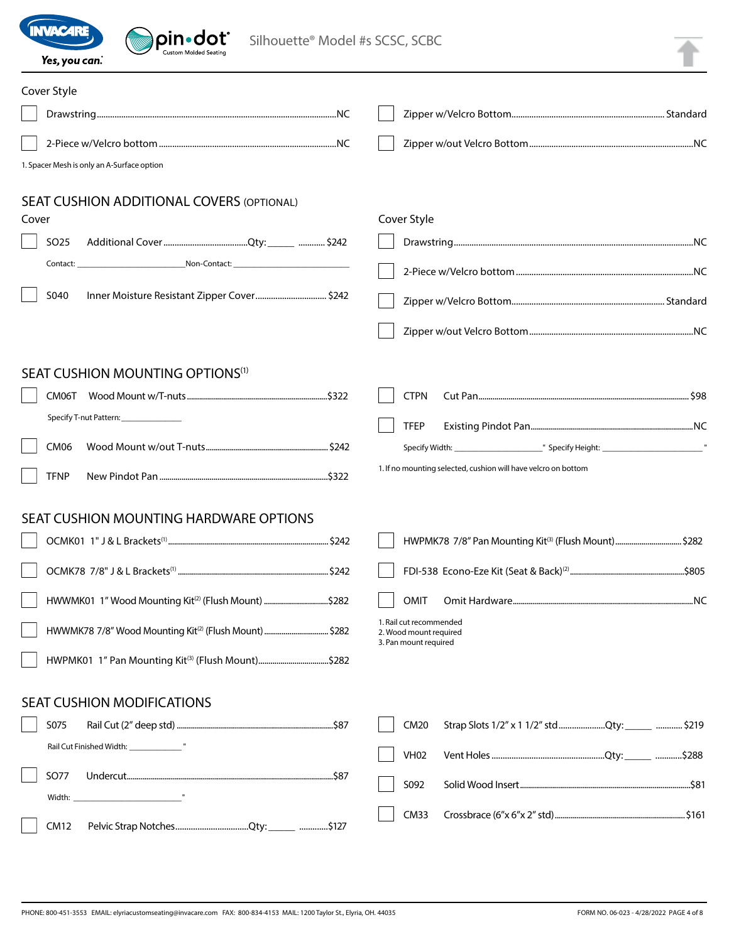

| <b>WAC4R</b><br>pin•dot®<br>Silhouette® Model #s SCSC, SCBC<br>Custom Molded Seating<br>Yes, you can.                        |                                                                                              |
|------------------------------------------------------------------------------------------------------------------------------|----------------------------------------------------------------------------------------------|
| Cover Style                                                                                                                  |                                                                                              |
|                                                                                                                              |                                                                                              |
|                                                                                                                              |                                                                                              |
| 1. Spacer Mesh is only an A-Surface option                                                                                   |                                                                                              |
| <b>SEAT CUSHION ADDITIONAL COVERS (OPTIONAL)</b><br>Cover                                                                    | Cover Style                                                                                  |
| SO <sub>25</sub>                                                                                                             |                                                                                              |
| Non-Contact: Non-Contact:<br>Contact:                                                                                        |                                                                                              |
| S040<br>lnner Moisture Resistant Zipper Cover \$242                                                                          |                                                                                              |
|                                                                                                                              |                                                                                              |
| SEAT CUSHION MOUNTING OPTIONS <sup>(1)</sup><br>CM06T<br>Specify T-nut Pattern: ______________<br><b>CM06</b><br><b>TFNP</b> | <b>CTPN</b><br><b>TFEP</b><br>1. If no mounting selected, cushion will have velcro on bottom |
| <b>SEAT CUSHION MOUNTING HARDWARE OPTIONS</b>                                                                                |                                                                                              |
|                                                                                                                              |                                                                                              |
|                                                                                                                              |                                                                                              |
| HWWMK01 1" Wood Mounting Kit <sup>(2)</sup> (Flush Mount) \$282                                                              | <b>OMIT</b>                                                                                  |
|                                                                                                                              | 1. Rail cut recommended<br>2. Wood mount required                                            |
|                                                                                                                              | 3. Pan mount required                                                                        |
| <b>SEAT CUSHION MODIFICATIONS</b>                                                                                            |                                                                                              |
| S075                                                                                                                         | <b>CM20</b><br>Strap Slots 1/2" x 1 1/2" stdQty: ______  \$219                               |
|                                                                                                                              | <b>VH02</b>                                                                                  |
| <b>SO77</b>                                                                                                                  | S092                                                                                         |
|                                                                                                                              | <b>CM33</b>                                                                                  |
|                                                                                                                              |                                                                                              |

CM12 Pelvic Strap Notches.................................Qty: \_\_\_\_\_ .............\$127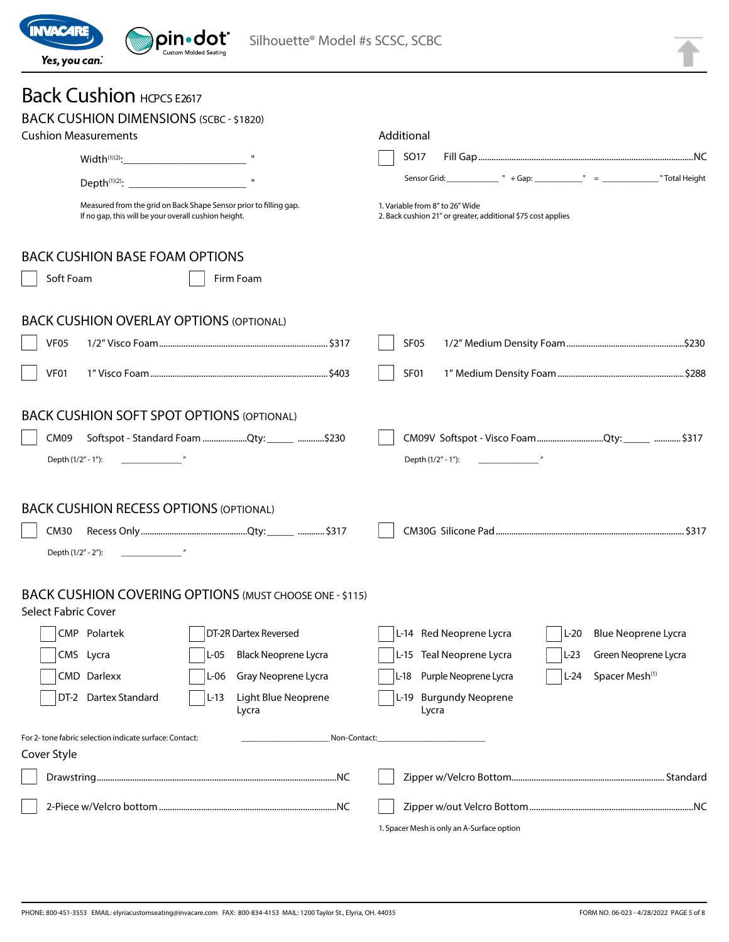

#### Back Cushion HCPCS E2617 BACK CUSHION DIMENSIONS (SCBC - \$1820) Cushion Measurements  $Width^{(1)(2)}:$ Depth $(1)(2)$ : Measured from the grid on Back Shape Sensor prior to filling gap. If no gap, this will be your overall cushion height. Additional SO17 Fill Gap.................................................................................................NC Sensor Grid: \_\_\_\_\_\_\_\_\_\_\_\_\_\_\_ " + Gap: \_\_\_\_\_\_\_\_\_\_\_\_\_\_ " = \_\_\_\_\_\_\_\_\_\_\_\_\_\_\_\_\_ " Total Height 1. Variable from 8" to 26" Wide 2. Back cushion 21" or greater, additional \$75 cost applies BACK CUSHION BASE FOAM OPTIONS Soft Foam Foam Firm Foam BACK CUSHION OVERLAY OPTIONS (OPTIONAL) VF05 1/2" Visco Foam ............................................................................ \$317 VF01 1" Visco Foam ................................................................................\$403 SF05 1/2" Medium Density Foam .....................................................\$230 SF01 1" Medium Density Foam .........................................................\$288 BACK CUSHION SOFT SPOT OPTIONS (OPTIONAL) CM09 Softspot - Standard Foam ....................Qty: \_\_\_\_\_ ............\$230 Depth (1/2" - 1"): CM09V Softspot - Visco Foam ..............................Qty: \_\_\_\_\_ ............\$317 Depth (1/2" - 1"): BACK CUSHION RECESS OPTIONS (OPTIONAL) CM30 Recess Only ................................................Qty: \_\_\_\_\_ ............\$317 Depth (1/2" - 2"): \_\_\_\_\_\_\_\_\_\_\_\_\_\_\_ " CM30G Silicone Pad ..................................................................................... \$317 BACK CUSHION COVERING OPTIONS (MUST CHOOSE ONE - \$115) Select Fabric Cover CMP Polartek CMS Lycra CMD Darlexx DT-2 Dartex Standard DT-2R Dartex Reversed L-05 Black Neoprene Lycra L-06 Gray Neoprene Lycra L-13 Light Blue Neoprene Lycra L-14 Red Neoprene Lycra L-15 Teal Neoprene Lycra L-18 Purple Neoprene Lycra L-19 Burgundy Neoprene Lycra L-20 Blue Neoprene Lycra L-23 Green Neoprene Lycra  $|L-24$  Spacer Mesh<sup>(1)</sup> For 2- tone fabric selection indicate surface: Contact: \_\_\_\_\_\_\_\_\_\_\_\_\_\_\_\_\_\_\_\_\_\_Non-Contact:\_\_\_\_\_\_\_\_\_\_\_\_\_\_\_\_\_\_\_\_\_\_\_\_\_\_\_ Cover Style Drawstring............................................................................................................NC 2-Piece w/Velcro bottom................................................................................NC Zipper w/Velcro Bottom..................................................................... Standard Zipper w/out Velcro Bottom..........................................................................NC

1. Spacer Mesh is only an A-Surface option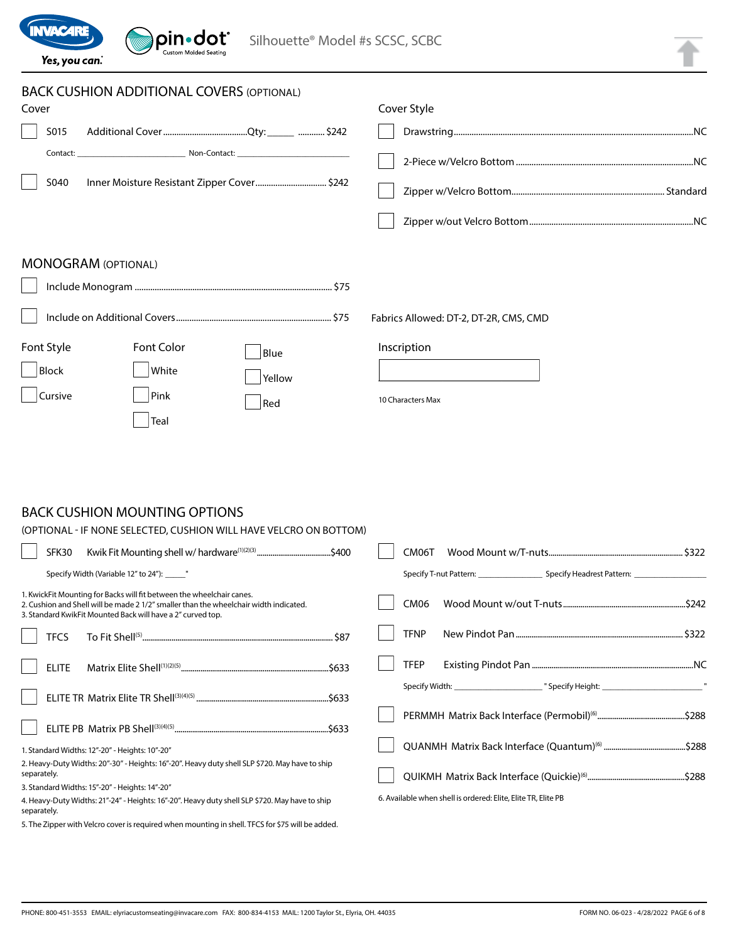| <b>INVACARE</b><br>pin•dot°<br>Silhouette® Model #s SCSC, SCBC<br>Custom Molded Seatin<br>Yes, you can.                  |                                        |
|--------------------------------------------------------------------------------------------------------------------------|----------------------------------------|
| <b>BACK CUSHION ADDITIONAL COVERS (OPTIONAL)</b><br>Cover<br>S015<br>S040<br>Inner Moisture Resistant Zipper Cover \$242 | Cover Style                            |
| <b>MONOGRAM (OPTIONAL)</b>                                                                                               | Fabrics Allowed: DT-2, DT-2R, CMS, CMD |
| Font Style<br><b>Font Color</b><br>Blue<br>Block<br>White<br>Yellow<br><b>Cursive</b><br>Pink<br>Red<br>Teal             | Inscription<br>10 Characters Max       |

### BACK CUSHION MOUNTING OPTIONS

**Contract Contract Contract Contract Contract Contract Contract Contract Contract Contract Contract Contract Contract Contract Contract Contract Contract Contract Contract Contract Contract Contract Contract Contract Contr** 

| (OPTIONAL - IF NONE SELECTED, CUSHION WILL HAVE VELCRO ON BOTTOM)                                                                                                                                                             |                                                               |
|-------------------------------------------------------------------------------------------------------------------------------------------------------------------------------------------------------------------------------|---------------------------------------------------------------|
| SFK30                                                                                                                                                                                                                         | CM06T                                                         |
| Specify Width (Variable 12" to 24"): _______"                                                                                                                                                                                 |                                                               |
| 1. KwickFit Mounting for Backs will fit between the wheelchair canes.<br>2. Cushion and Shell will be made 2 1/2" smaller than the wheelchair width indicated.<br>3. Standard KwikFit Mounted Back will have a 2" curved top. | CM <sub>06</sub>                                              |
| <b>TFCS</b>                                                                                                                                                                                                                   | <b>TFNP</b>                                                   |
| <b>ELITE</b>                                                                                                                                                                                                                  | <b>TFEP</b>                                                   |
|                                                                                                                                                                                                                               |                                                               |
|                                                                                                                                                                                                                               |                                                               |
| 1. Standard Widths: 12"-20" - Heights: 10"-20"                                                                                                                                                                                |                                                               |
| 2. Heavy-Duty Widths: 20"-30" - Heights: 16"-20". Heavy duty shell SLP \$720. May have to ship<br>separately.                                                                                                                 |                                                               |
| 3. Standard Widths: 15"-20" - Heights: 14"-20"                                                                                                                                                                                |                                                               |
| 4. Heavy-Duty Widths: 21"-24" - Heights: 16"-20". Heavy duty shell SLP \$720. May have to ship<br>separately.                                                                                                                 | 6. Available when shell is ordered: Elite, Elite TR, Elite PB |
| ■   The   The common the Victoria common the common the common the common the Unit The Common The Common the C                                                                                                                |                                                               |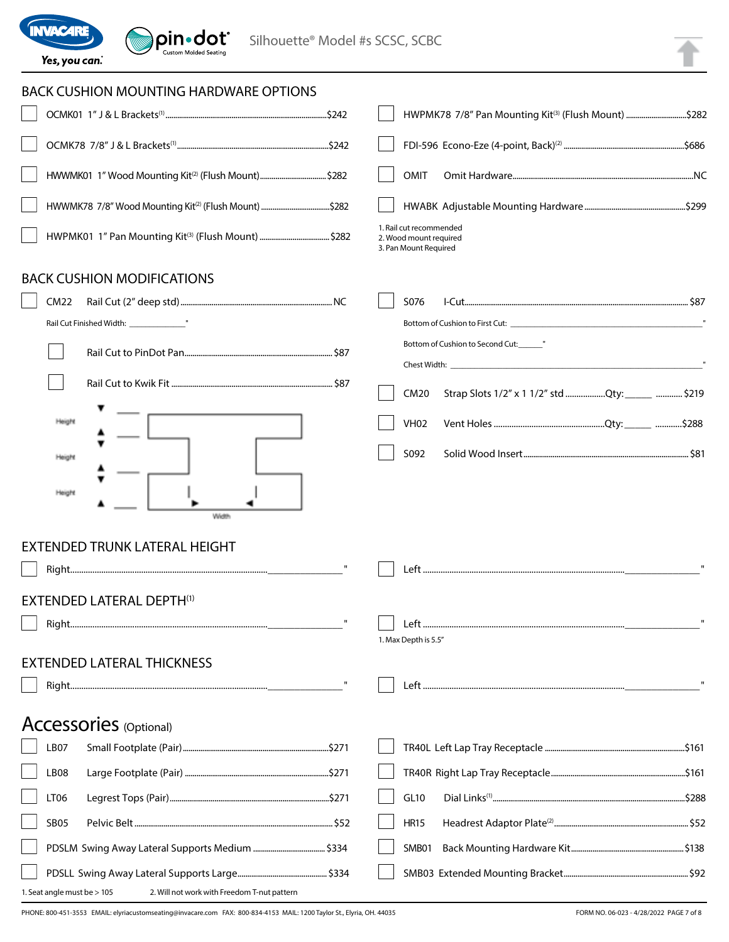

| <b>BACK CUSHION MOUNTING HARDWARE OPTIONS</b>                     |                                                                            |  |
|-------------------------------------------------------------------|----------------------------------------------------------------------------|--|
|                                                                   | HWPMK78 7/8" Pan Mounting Kit <sup>(3)</sup> (Flush Mount) \$282           |  |
|                                                                   |                                                                            |  |
|                                                                   | OMIT                                                                       |  |
| HWWMK78 7/8" Wood Mounting Kit <sup>(2)</sup> (Flush Mount) \$282 |                                                                            |  |
|                                                                   | 1. Rail cut recommended<br>2. Wood mount required<br>3. Pan Mount Required |  |
| <b>BACK CUSHION MODIFICATIONS</b>                                 |                                                                            |  |
| <b>CM22</b>                                                       | S076                                                                       |  |
|                                                                   |                                                                            |  |
|                                                                   | Bottom of Cushion to Second Cut: "                                         |  |
|                                                                   |                                                                            |  |
|                                                                   | Strap Slots 1/2" x 1 1/2" std Qty: _____  \$219<br><b>CM20</b>             |  |
| Height                                                            | <b>VH02</b>                                                                |  |
| Height                                                            | S092                                                                       |  |
| Height<br>Width                                                   |                                                                            |  |
| <b>EXTENDED TRUNK LATERAL HEIGHT</b>                              |                                                                            |  |
|                                                                   |                                                                            |  |
|                                                                   |                                                                            |  |
| <b>EXTENDED LATERAL DEPTH(1)</b>                                  |                                                                            |  |
|                                                                   |                                                                            |  |
|                                                                   | 1. Max Depth is 5.5"                                                       |  |
| <b>EXTENDED LATERAL THICKNESS</b>                                 |                                                                            |  |
|                                                                   |                                                                            |  |
| Accessories (Optional)                                            |                                                                            |  |
| LB07                                                              |                                                                            |  |
| LB08                                                              |                                                                            |  |
| <b>LT06</b>                                                       | <b>GL10</b>                                                                |  |
| <b>SB05</b>                                                       | <b>HR15</b>                                                                |  |
|                                                                   | SMB01                                                                      |  |
|                                                                   |                                                                            |  |

1. Seat angle must be > 105 2. Will not work with Freedom T-nut pattern